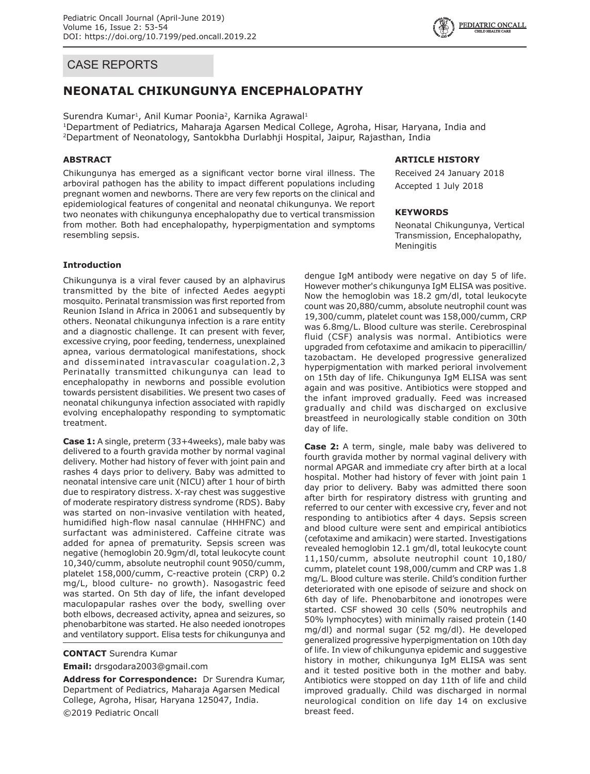# CASE REPORTS

# **NEONATAL CHIKUNGUNYA ENCEPHALOPATHY**

Surendra Kumar<sup>1</sup>, Anil Kumar Poonia<sup>2</sup>, Karnika Agrawal<sup>1</sup>

1Department of Pediatrics, Maharaja Agarsen Medical College, Agroha, Hisar, Haryana, India and 2Department of Neonatology, Santokbha Durlabhji Hospital, Jaipur, Rajasthan, India

## **ABSTRACT**

Chikungunya has emerged as a significant vector borne viral illness. The arboviral pathogen has the ability to impact different populations including pregnant women and newborns. There are very few reports on the clinical and epidemiological features of congenital and neonatal chikungunya. We report two neonates with chikungunya encephalopathy due to vertical transmission from mother. Both had encephalopathy, hyperpigmentation and symptoms resembling sepsis.

# **Introduction**

Chikungunya is a viral fever caused by an alphavirus transmitted by the bite of infected Aedes aegypti mosquito. Perinatal transmission was first reported from Reunion Island in Africa in 20061 and subsequently by others. Neonatal chikungunya infection is a rare entity and a diagnostic challenge. It can present with fever, excessive crying, poor feeding, tenderness, unexplained apnea, various dermatological manifestations, shock and disseminated intravascular coagulation.2,3 Perinatally transmitted chikungunya can lead to encephalopathy in newborns and possible evolution towards persistent disabilities. We present two cases of neonatal chikungunya infection associated with rapidly evolving encephalopathy responding to symptomatic treatment.

**Case 1:** A single, preterm (33+4weeks), male baby was delivered to a fourth gravida mother by normal vaginal delivery. Mother had history of fever with joint pain and rashes 4 days prior to delivery. Baby was admitted to neonatal intensive care unit (NICU) after 1 hour of birth due to respiratory distress. X-ray chest was suggestive of moderate respiratory distress syndrome (RDS). Baby was started on non-invasive ventilation with heated, humidified high-flow nasal cannulae (HHHFNC) and surfactant was administered. Caffeine citrate was added for apnea of prematurity. Sepsis screen was negative (hemoglobin 20.9gm/dl, total leukocyte count 10,340/cumm, absolute neutrophil count 9050/cumm, platelet 158,000/cumm, C-reactive protein (CRP) 0.2 mg/L, blood culture- no growth). Nasogastric feed was started. On 5th day of life, the infant developed maculopapular rashes over the body, swelling over both elbows, decreased activity, apnea and seizures, so phenobarbitone was started. He also needed ionotropes and ventilatory support. Elisa tests for chikungunya and

#### **CONTACT** Surendra Kumar

**Email:** drsgodara2003@gmail.com

**Address for Correspondence:** Dr Surendra Kumar, Department of Pediatrics, Maharaja Agarsen Medical College, Agroha, Hisar, Haryana 125047, India. ©2019 Pediatric Oncall

#### **ARTICLE HISTORY**

Received 24 January 2018 Accepted 1 July 2018

#### **KEYWORDS**

Neonatal Chikungunya, Vertical Transmission, Encephalopathy, Meningitis

dengue IgM antibody were negative on day 5 of life. However mother's chikungunya IgM ELISA was positive. Now the hemoglobin was 18.2 gm/dl, total leukocyte count was 20,880/cumm, absolute neutrophil count was 19,300/cumm, platelet count was 158,000/cumm, CRP was 6.8mg/L. Blood culture was sterile. Cerebrospinal fluid (CSF) analysis was normal. Antibiotics were upgraded from cefotaxime and amikacin to piperacillin/ tazobactam. He developed progressive generalized hyperpigmentation with marked perioral involvement on 15th day of life. Chikungunya IgM ELISA was sent again and was positive. Antibiotics were stopped and the infant improved gradually. Feed was increased gradually and child was discharged on exclusive breastfeed in neurologically stable condition on 30th day of life.

**Case 2:** A term, single, male baby was delivered to fourth gravida mother by normal vaginal delivery with normal APGAR and immediate cry after birth at a local hospital. Mother had history of fever with joint pain 1 day prior to delivery. Baby was admitted there soon after birth for respiratory distress with grunting and referred to our center with excessive cry, fever and not responding to antibiotics after 4 days. Sepsis screen and blood culture were sent and empirical antibiotics (cefotaxime and amikacin) were started. Investigations revealed hemoglobin 12.1 gm/dl, total leukocyte count 11,150/cumm, absolute neutrophil count 10,180/ cumm, platelet count 198,000/cumm and CRP was 1.8 mg/L. Blood culture was sterile. Child's condition further deteriorated with one episode of seizure and shock on 6th day of life. Phenobarbitone and ionotropes were started. CSF showed 30 cells (50% neutrophils and 50% lymphocytes) with minimally raised protein (140 mg/dl) and normal sugar (52 mg/dl). He developed generalized progressive hyperpigmentation on 10th day of life. In view of chikungunya epidemic and suggestive history in mother, chikungunya IgM ELISA was sent and it tested positive both in the mother and baby. Antibiotics were stopped on day 11th of life and child improved gradually. Child was discharged in normal neurological condition on life day 14 on exclusive breast feed.